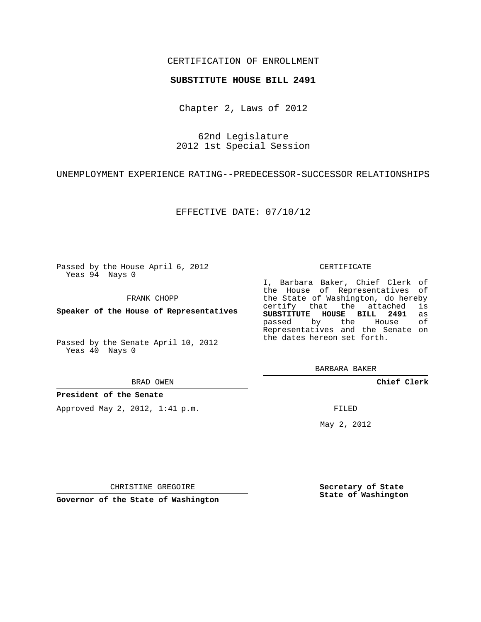### CERTIFICATION OF ENROLLMENT

#### **SUBSTITUTE HOUSE BILL 2491**

Chapter 2, Laws of 2012

62nd Legislature 2012 1st Special Session

UNEMPLOYMENT EXPERIENCE RATING--PREDECESSOR-SUCCESSOR RELATIONSHIPS

EFFECTIVE DATE: 07/10/12

Passed by the House April 6, 2012 Yeas 94 Nays 0

FRANK CHOPP

**Speaker of the House of Representatives**

Passed by the Senate April 10, 2012 Yeas 40 Nays 0

#### BRAD OWEN

#### **President of the Senate**

Approved May 2, 2012, 1:41 p.m.

### CERTIFICATE

I, Barbara Baker, Chief Clerk of the House of Representatives of the State of Washington, do hereby<br>certify that the attached is certify that the attached **SUBSTITUTE HOUSE BILL 2491** as passed by the Representatives and the Senate on the dates hereon set forth.

BARBARA BAKER

**Chief Clerk**

FILED

May 2, 2012

**Secretary of State State of Washington**

CHRISTINE GREGOIRE

**Governor of the State of Washington**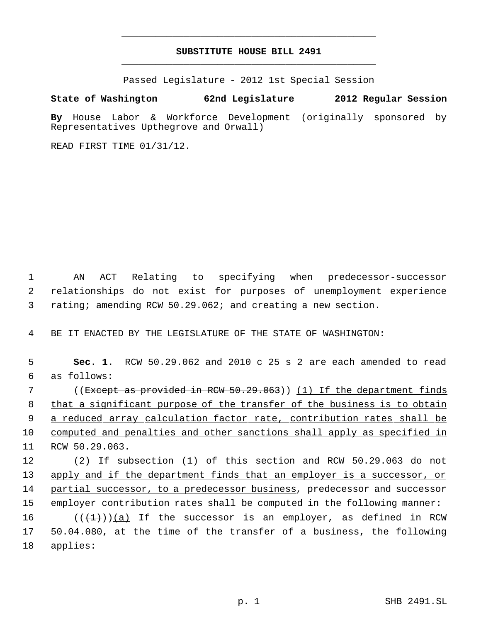# **SUBSTITUTE HOUSE BILL 2491** \_\_\_\_\_\_\_\_\_\_\_\_\_\_\_\_\_\_\_\_\_\_\_\_\_\_\_\_\_\_\_\_\_\_\_\_\_\_\_\_\_\_\_\_\_

\_\_\_\_\_\_\_\_\_\_\_\_\_\_\_\_\_\_\_\_\_\_\_\_\_\_\_\_\_\_\_\_\_\_\_\_\_\_\_\_\_\_\_\_\_

Passed Legislature - 2012 1st Special Session

## **State of Washington 62nd Legislature 2012 Regular Session**

**By** House Labor & Workforce Development (originally sponsored by Representatives Upthegrove and Orwall)

READ FIRST TIME 01/31/12.

 1 AN ACT Relating to specifying when predecessor-successor 2 relationships do not exist for purposes of unemployment experience 3 rating; amending RCW 50.29.062; and creating a new section.

4 BE IT ENACTED BY THE LEGISLATURE OF THE STATE OF WASHINGTON:

 5 **Sec. 1.** RCW 50.29.062 and 2010 c 25 s 2 are each amended to read 6 as follows: 7 ((Except as provided in RCW 50.29.063)) (1) If the department finds

 that a significant purpose of the transfer of the business is to obtain 9 a reduced array calculation factor rate, contribution rates shall be computed and penalties and other sanctions shall apply as specified in RCW 50.29.063.

12 (2) If subsection (1) of this section and RCW 50.29.063 do not 13 apply and if the department finds that an employer is a successor, or 14 partial successor, to a predecessor business, predecessor and successor 15 employer contribution rates shall be computed in the following manner:

16  $((+1))$  (a) If the successor is an employer, as defined in RCW 17 50.04.080, at the time of the transfer of a business, the following 18 applies: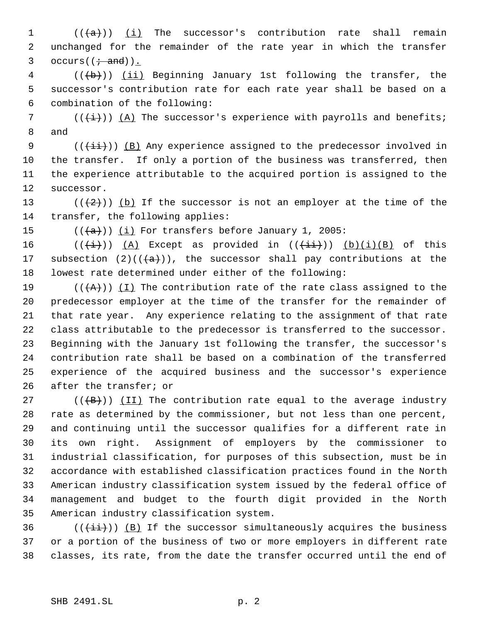$((+a))$   $(i)$  The successor's contribution rate shall remain unchanged for the remainder of the rate year in which the transfer 3 occurs $((\div \text{ and}))$ .

4 (((b))) (ii) Beginning January 1st following the transfer, the successor's contribution rate for each rate year shall be based on a combination of the following:

7 ( $(\frac{1}{1})$ ) (A) The successor's experience with payrolls and benefits; and

 $((\overrightarrow{\pm i}))$  (B) Any experience assigned to the predecessor involved in the transfer. If only a portion of the business was transferred, then the experience attributable to the acquired portion is assigned to the successor.

13 ( $(\frac{1}{2})$ ) (b) If the successor is not an employer at the time of the transfer, the following applies:

15  $((a))$   $(i)$  For transfers before January 1, 2005:

16 ( $(\frac{1}{1})$ ) (A) Except as provided in  $(\frac{1}{1}$ )) (b)(i)(B) of this 17 subsection  $(2)((\{a\}))$ , the successor shall pay contributions at the lowest rate determined under either of the following:

19 ( $(\overline{A})$ ) (I) The contribution rate of the rate class assigned to the predecessor employer at the time of the transfer for the remainder of that rate year. Any experience relating to the assignment of that rate class attributable to the predecessor is transferred to the successor. Beginning with the January 1st following the transfer, the successor's contribution rate shall be based on a combination of the transferred experience of the acquired business and the successor's experience after the transfer; or

 $((\{B\})$   $(II)$  The contribution rate equal to the average industry rate as determined by the commissioner, but not less than one percent, and continuing until the successor qualifies for a different rate in its own right. Assignment of employers by the commissioner to industrial classification, for purposes of this subsection, must be in accordance with established classification practices found in the North American industry classification system issued by the federal office of management and budget to the fourth digit provided in the North American industry classification system.

36 ( $(\frac{1+i}{i})$ ) (B) If the successor simultaneously acquires the business or a portion of the business of two or more employers in different rate classes, its rate, from the date the transfer occurred until the end of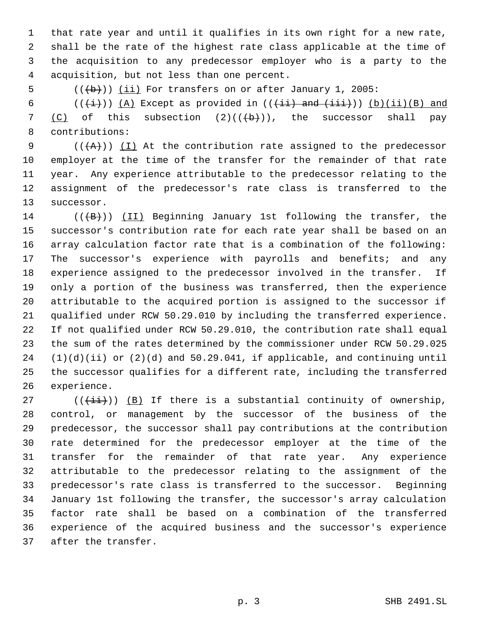that rate year and until it qualifies in its own right for a new rate, shall be the rate of the highest rate class applicable at the time of the acquisition to any predecessor employer who is a party to the acquisition, but not less than one percent.

 $((\theta))^2$  (((b))) (ii) For transfers on or after January 1, 2005:

6 ( $(\frac{i}{i})$ ) (A) Except as provided in ( $(\frac{i}{i}$ ) and  $(\frac{i}{i}i)$ )) (b)(ii)(B) and 7  $(C)$  of this subsection  $(2)((+b+))$ , the successor shall pay contributions:

 $((+A))$   $(1)$  At the contribution rate assigned to the predecessor employer at the time of the transfer for the remainder of that rate year. Any experience attributable to the predecessor relating to the assignment of the predecessor's rate class is transferred to the successor.

14 ( $(\overline{B})$ ) (II) Beginning January 1st following the transfer, the successor's contribution rate for each rate year shall be based on an array calculation factor rate that is a combination of the following: The successor's experience with payrolls and benefits; and any experience assigned to the predecessor involved in the transfer. If only a portion of the business was transferred, then the experience attributable to the acquired portion is assigned to the successor if qualified under RCW 50.29.010 by including the transferred experience. If not qualified under RCW 50.29.010, the contribution rate shall equal the sum of the rates determined by the commissioner under RCW 50.29.025 (1)(d)(ii) or (2)(d) and 50.29.041, if applicable, and continuing until the successor qualifies for a different rate, including the transferred experience.

 $((\overrightarrow{\pm i}))(B)$  If there is a substantial continuity of ownership, control, or management by the successor of the business of the predecessor, the successor shall pay contributions at the contribution rate determined for the predecessor employer at the time of the transfer for the remainder of that rate year. Any experience attributable to the predecessor relating to the assignment of the predecessor's rate class is transferred to the successor. Beginning January 1st following the transfer, the successor's array calculation factor rate shall be based on a combination of the transferred experience of the acquired business and the successor's experience after the transfer.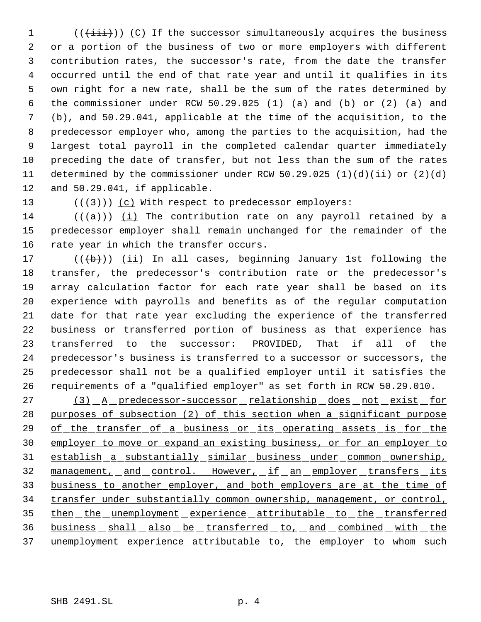$((\overrightarrow{\pm i}))$  (C) If the successor simultaneously acquires the business or a portion of the business of two or more employers with different contribution rates, the successor's rate, from the date the transfer occurred until the end of that rate year and until it qualifies in its own right for a new rate, shall be the sum of the rates determined by the commissioner under RCW 50.29.025 (1) (a) and (b) or (2) (a) and (b), and 50.29.041, applicable at the time of the acquisition, to the predecessor employer who, among the parties to the acquisition, had the largest total payroll in the completed calendar quarter immediately preceding the date of transfer, but not less than the sum of the rates determined by the commissioner under RCW 50.29.025 (1)(d)(ii) or (2)(d) and 50.29.041, if applicable.

13  $((+3))$   $(c)$  With respect to predecessor employers:

14 ( $((+a))$  (i) The contribution rate on any payroll retained by a predecessor employer shall remain unchanged for the remainder of the rate year in which the transfer occurs.

 $((+b))$   $(ii)$  In all cases, beginning January 1st following the transfer, the predecessor's contribution rate or the predecessor's array calculation factor for each rate year shall be based on its experience with payrolls and benefits as of the regular computation date for that rate year excluding the experience of the transferred business or transferred portion of business as that experience has transferred to the successor: PROVIDED, That if all of the predecessor's business is transferred to a successor or successors, the predecessor shall not be a qualified employer until it satisfies the requirements of a "qualified employer" as set forth in RCW 50.29.010.

27 (3) A predecessor-successor relationship does not exist for purposes of subsection (2) of this section when a significant purpose 29 of the transfer of a business or its operating assets is for the employer to move or expand an existing business, or for an employer to 31 establish a substantially similar business under common ownership, 32 management, and control. However, if an employer transfers its business to another employer, and both employers are at the time of transfer under substantially common ownership, management, or control, 35 then the unemployment experience attributable to the transferred business shall also be transferred to, and combined with the 37 unemployment experience attributable to, the employer to whom such